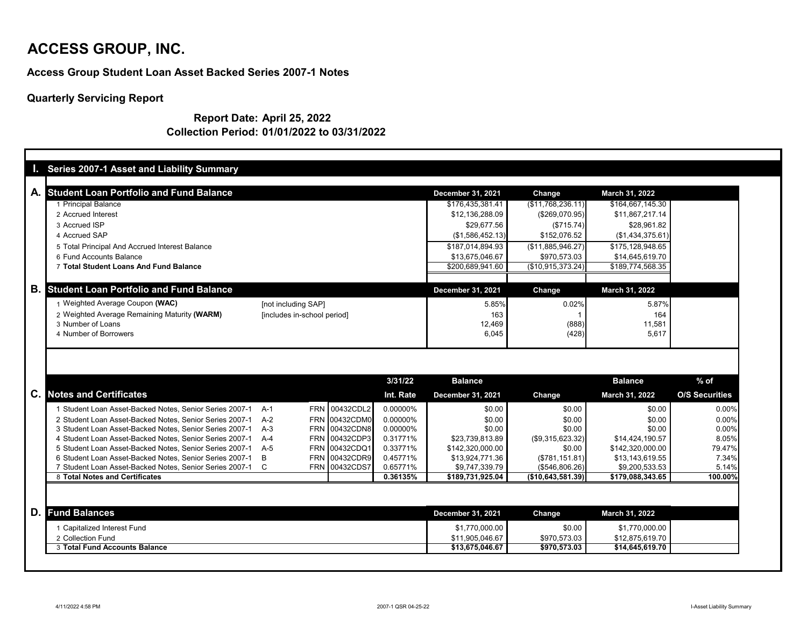#### **Access Group Student Loan Asset Backed Series 2007-1 Notes**

## **Quarterly Servicing Report**

#### **Report Date: April 25, 2022 Collection Period: 01/01/2022 to 03/31/2022**

| A. Student Loan Portfolio and Fund Balance                                       |                             |           | <b>December 31, 2021</b> | <b>Change</b>          | <b>March 31, 2022</b>             |                       |
|----------------------------------------------------------------------------------|-----------------------------|-----------|--------------------------|------------------------|-----------------------------------|-----------------------|
| <b>Principal Balance</b>                                                         |                             |           | \$176,435,381.41         | (\$11,768,236.11)      | \$164,667,145.30                  |                       |
| 2 Accrued Interest                                                               |                             |           | \$12,136,288.09          | (\$269,070.95)         | \$11,867,217.14                   |                       |
| 3 Accrued ISP                                                                    |                             |           | \$29,677.56              | (\$715.74)             | \$28,961.82                       |                       |
| 4 Accrued SAP                                                                    |                             |           | (\$1,586,452.13)         | \$152,076.52           | (\$1,434,375.61)                  |                       |
| 5 Total Principal And Accrued Interest Balance                                   |                             |           | \$187,014,894.93         | (\$11,885,946.27)      | \$175,128,948.65                  |                       |
| 6 Fund Accounts Balance                                                          |                             |           | \$13,675,046.67          | \$970,573.03           | \$14,645,619.70                   |                       |
| 7 Total Student Loans And Fund Balance                                           |                             |           | \$200,689,941.60         | (\$10,915,373.24)      | \$189,774,568.35                  |                       |
|                                                                                  |                             |           |                          |                        |                                   |                       |
| <b>B.</b> Student Loan Portfolio and Fund Balance                                |                             |           | <b>December 31, 2021</b> | <b>Change</b>          | March 31, 2022                    |                       |
| 1 Weighted Average Coupon (WAC)                                                  | [not including SAP]         |           | 5.85%                    | 0.02%                  | 5.87%                             |                       |
| 2 Weighted Average Remaining Maturity (WARM)                                     | [includes in-school period] |           | 163                      |                        | 164                               |                       |
| 3 Number of Loans                                                                |                             |           | 12,469                   | (888)                  | 11,581                            |                       |
| 4 Number of Borrowers                                                            |                             |           | 6,045                    | (428)                  | 5,617                             |                       |
|                                                                                  |                             |           |                          |                        |                                   |                       |
|                                                                                  |                             | 3/31/22   | <b>Balance</b>           |                        | <b>Balance</b>                    | $%$ of                |
|                                                                                  |                             | Int. Rate | <b>December 31, 2021</b> | Change                 | <b>March 31, 2022</b>             | <b>O/S Securities</b> |
| 1 Student Loan Asset-Backed Notes, Senior Series 2007-1                          | FRN 00432CDL2<br>- A-1      | 0.00000%  | \$0.00                   | \$0.00                 | \$0.00                            | 0.00%                 |
| 2 Student Loan Asset-Backed Notes, Senior Series 2007-1                          | FRN 00432CDM0<br>$A-2$      | 0.00000%  | \$0.00                   | \$0.00                 | \$0.00                            | 0.00%                 |
| 3 Student Loan Asset-Backed Notes, Senior Series 2007-1                          | FRN 00432CDN8<br>$A-3$      | 0.00000%  | \$0.00                   | \$0.00                 | \$0.00                            | 0.00%                 |
| 4 Student Loan Asset-Backed Notes, Senior Series 2007-1                          | FRN 00432CDP3<br>A-4        | 0.31771%  | \$23,739,813.89          | (\$9,315,623.32)       | \$14,424,190.57                   | 8.05%                 |
| 5 Student Loan Asset-Backed Notes, Senior Series 2007-1 A-5                      | FRN 00432CDQ1               | 0.33771%  | \$142,320,000.00         | \$0.00                 | \$142,320,000.00                  | 79.47%                |
| 6 Student Loan Asset-Backed Notes, Senior Series 2007-1                          | B<br>FRN 00432CDR9          | 0.45771%  | \$13,924,771.36          | (\$781,151.81)         | \$13,143,619.55                   | 7.34%                 |
| 7 Student Loan Asset-Backed Notes, Senior Series 2007-1 C                        | FRN 00432CDS7               | 0.65771%  | \$9,747,339.79           | (\$546,806.26)         | \$9,200,533.53                    | 5.14%                 |
| 8 Total Notes and Certificates                                                   |                             | 0.36135%  | \$189,731,925.04         | (\$10,643,581.39)      | \$179,088,343.65                  | 100.00%               |
|                                                                                  |                             |           | <b>December 31, 2021</b> | Change                 | <b>March 31, 2022</b>             |                       |
| 1 Capitalized Interest Fund                                                      |                             |           | \$1,770,000.00           |                        |                                   |                       |
| <b>C.</b> Notes and Certificates<br><b>D. Fund Balances</b><br>2 Collection Fund |                             |           | \$11,905,046.67          | \$0.00<br>\$970,573.03 | \$1,770,000.00<br>\$12,875,619.70 |                       |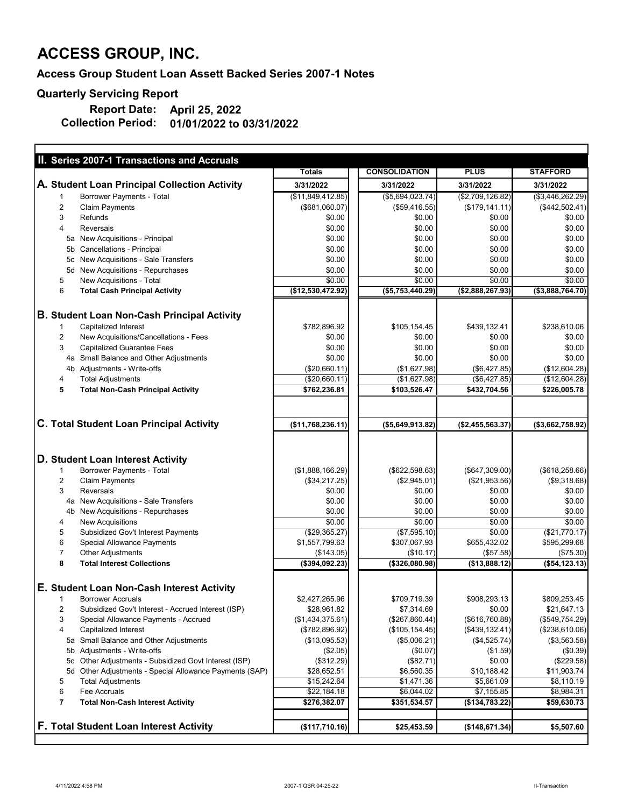## **Access Group Student Loan Assett Backed Series 2007-1 Notes**

## **Quarterly Servicing Report**

| II. Series 2007-1 Transactions and Accruals                          |                     |                      |                   |                  |
|----------------------------------------------------------------------|---------------------|----------------------|-------------------|------------------|
|                                                                      | <b>Totals</b>       | <b>CONSOLIDATION</b> | <b>PLUS</b>       | <b>STAFFORD</b>  |
| A. Student Loan Principal Collection Activity                        | 3/31/2022           | 3/31/2022            | 3/31/2022         | 3/31/2022        |
| <b>Borrower Payments - Total</b>                                     | (\$11,849,412.85)   | (\$5,694,023.74)     | (\$2,709,126.82)  | (\$3,446,262.29) |
| $\overline{2}$<br><b>Claim Payments</b>                              | (\$681,060.07)      | (\$59,416.55)        | (\$179, 141.11)   | $(*442,502.41)$  |
| 3<br>Refunds                                                         | \$0.00              | \$0.00               | \$0.00            | \$0.00           |
| 4<br><b>Reversals</b>                                                | \$0.00              | \$0.00               | \$0.00            | \$0.00           |
| 5a New Acquisitions - Principal                                      | \$0.00              | \$0.00               | \$0.00            | \$0.00           |
| 5b Cancellations - Principal                                         | \$0.00              | \$0.00               | \$0.00            | \$0.00           |
| New Acquisitions - Sale Transfers<br>5с                              | \$0.00              | \$0.00               | \$0.00            | \$0.00           |
| New Acquisitions - Repurchases<br>5d                                 | \$0.00              | \$0.00               | \$0.00            | \$0.00           |
| New Acquisitions - Total<br>5                                        | \$0.00              | \$0.00               | \$0.00            | \$0.00           |
| 6<br><b>Total Cash Principal Activity</b>                            | $(*12,530,472.92)]$ | (\$5,753,440.29)     | (\$2,888,267.93)  | (\$3,888,764.70) |
|                                                                      |                     |                      |                   |                  |
| <b>B. Student Loan Non-Cash Principal Activity</b>                   |                     |                      |                   |                  |
| <b>Capitalized Interest</b>                                          | \$782,896.92        | \$105,154.45         | \$439,132.41      | \$238,610.06     |
| $\overline{2}$<br>New Acquisitions/Cancellations - Fees              | \$0.00              | \$0.00               | \$0.00            | \$0.00           |
| 3<br><b>Capitalized Guarantee Fees</b>                               | \$0.00              | \$0.00               | \$0.00            | \$0.00           |
| 4a Small Balance and Other Adjustments                               | \$0.00              | \$0.00               | \$0.00            | \$0.00           |
| Adjustments - Write-offs<br>4b                                       | (\$20,660.11)       | (\$1,627.98)         | (\$6,427.85)      | (\$12,604.28)    |
| <b>Total Adjustments</b><br>4                                        | (\$20,660.11)       | (\$1,627.98)         | (\$6,427.85)      | (\$12,604.28)    |
| 5<br><b>Total Non-Cash Principal Activity</b>                        | \$762,236.81        | \$103,526.47         | \$432,704.56      | \$226,005.78     |
|                                                                      |                     |                      |                   |                  |
| <b>C. Total Student Loan Principal Activity</b>                      | (\$11,768,236.11)]  | ( \$5,649,913.82)    | ( \$2,455,563.37) | (\$3,662,758.92) |
|                                                                      |                     |                      |                   |                  |
| D. Student Loan Interest Activity                                    |                     |                      |                   |                  |
| <b>Borrower Payments - Total</b>                                     | (\$1,888,166.29)    | (\$622,598.63)       | (\$647,309.00)    | (\$618,258.66)   |
| $\overline{2}$<br><b>Claim Payments</b>                              | (\$34,217.25)       | (\$2,945.01)         | (\$21,953.56)     | (\$9,318.68)     |
| 3<br><b>Reversals</b>                                                | \$0.00              | \$0.00               | \$0.00            | \$0.00           |
| New Acquisitions - Sale Transfers<br>4a                              | \$0.00              | \$0.00               | \$0.00            | \$0.00           |
| <b>New Acquisitions - Repurchases</b><br>4 <sub>b</sub>              | \$0.00              | \$0.00               | \$0.00            | \$0.00           |
| <b>New Acquisitions</b><br>4                                         | \$0.00              | \$0.00               | \$0.00            | \$0.00           |
| 5<br>Subsidized Gov't Interest Payments                              | ( \$29,365.27)      | (\$7,595.10)         | \$0.00            | (\$21,770.17)    |
| 6<br><b>Special Allowance Payments</b>                               | \$1,557,799.63      | \$307,067.93         | \$655,432.02      | \$595,299.68     |
| 7<br><b>Other Adjustments</b>                                        | (\$143.05)          | (\$10.17)            | (\$57.58)         | (\$75.30)        |
| 8<br><b>Total Interest Collections</b>                               | $(*394,092.23)$     | $($ \$326,080.98)    | (\$13,888.12)     | (\$54, 123.13)   |
| E. Student Loan Non-Cash Interest Activity                           |                     |                      |                   |                  |
| <b>Borrower Accruals</b>                                             |                     |                      |                   |                  |
|                                                                      | \$2,427,265.96      | \$709,719.39         | \$908,293.13      | \$809,253.45     |
| $\overline{2}$<br>Subsidized Gov't Interest - Accrued Interest (ISP) | \$28,961.82         | \$7,314.69           | \$0.00            | \$21,647.13      |
| 3<br>Special Allowance Payments - Accrued                            | (\$1,434,375.61)    | (\$267,860.44)       | (\$616,760.88)    | (\$549,754.29)   |
| Capitalized Interest<br>4                                            | (\$782,896.92)      | (\$105, 154.45)      | (\$439,132.41)    | (\$238,610.06)   |
| 5a Small Balance and Other Adjustments                               | (\$13,095.53)       | (\$5,006.21)         | (\$4,525.74)      | (\$3,563.58)     |
| Adjustments - Write-offs<br>5b                                       | (\$2.05)            | (\$0.07)             | (\$1.59)          | (\$0.39)         |
| Other Adjustments - Subsidized Govt Interest (ISP)<br>5с             | (\$312.29)          | (\$82.71)            | \$0.00            | (\$229.58)       |
| Other Adjustments - Special Allowance Payments (SAP)<br>5d           | \$28,652.51         | \$6,560.35           | \$10,188.42       | \$11,903.74      |
| 5<br><b>Total Adjustments</b>                                        | \$15,242.64         | \$1,471.36           | \$5,661.09        | \$8,110.19       |
| 6<br><b>Fee Accruals</b>                                             | \$22,184.18         | \$6,044.02           | \$7,155.85        | \$8,984.31       |
| 7<br><b>Total Non-Cash Interest Activity</b>                         | \$276,382.07        | \$351,534.57         | (\$134,783.22)    | \$59,630.73      |
| <b>F. Total Student Loan Interest Activity</b>                       | (\$117,710.16)      | \$25,453.59          | (\$148,671.34)    | \$5,507.60       |

**01/01/2022 to 03/31/2022 Report Date: Collection Period: April 25, 2022**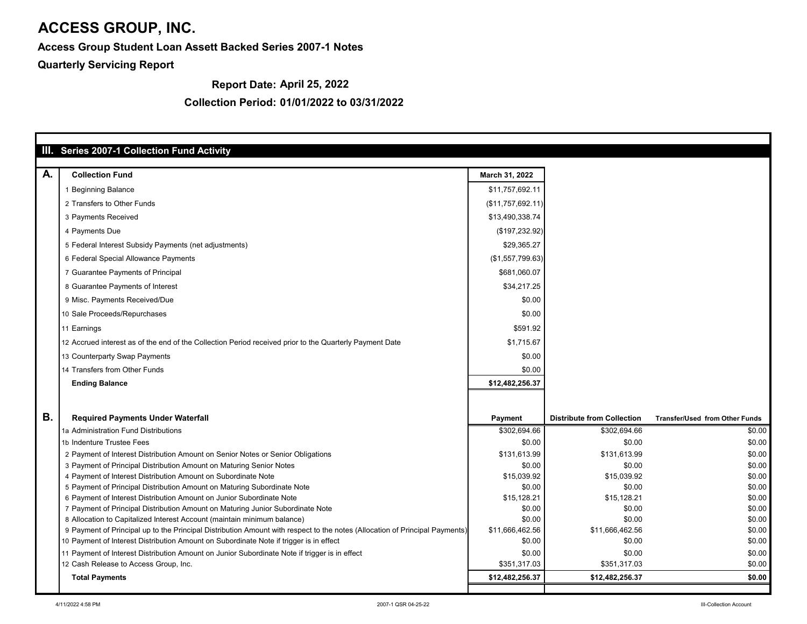**Access Group Student Loan Assett Backed Series 2007-1 Notes**

**Quarterly Servicing Report**

## **Collection Period: 01/01/2022 to 03/31/2022**

|           | III. Series 2007-1 Collection Fund Activity                                                                                 |                   |                                   |                                       |
|-----------|-----------------------------------------------------------------------------------------------------------------------------|-------------------|-----------------------------------|---------------------------------------|
| A.        | <b>Collection Fund</b>                                                                                                      |                   |                                   |                                       |
|           |                                                                                                                             | March 31, 2022    |                                   |                                       |
|           | 1 Beginning Balance                                                                                                         | \$11,757,692.11   |                                   |                                       |
|           | 2 Transfers to Other Funds                                                                                                  | (\$11,757,692.11) |                                   |                                       |
|           | 3 Payments Received                                                                                                         | \$13,490,338.74   |                                   |                                       |
|           | 4 Payments Due                                                                                                              | (\$197,232.92)    |                                   |                                       |
|           | 5 Federal Interest Subsidy Payments (net adjustments)                                                                       | \$29,365.27       |                                   |                                       |
|           | 6 Federal Special Allowance Payments                                                                                        | (\$1,557,799.63)  |                                   |                                       |
|           | 7 Guarantee Payments of Principal                                                                                           | \$681,060.07      |                                   |                                       |
|           | 8 Guarantee Payments of Interest                                                                                            | \$34,217.25       |                                   |                                       |
|           | 9 Misc. Payments Received/Due                                                                                               | \$0.00            |                                   |                                       |
|           | 10 Sale Proceeds/Repurchases                                                                                                | \$0.00            |                                   |                                       |
|           | 11 Earnings                                                                                                                 | \$591.92          |                                   |                                       |
|           | 12 Accrued interest as of the end of the Collection Period received prior to the Quarterly Payment Date                     | \$1,715.67        |                                   |                                       |
|           | 13 Counterparty Swap Payments                                                                                               | \$0.00            |                                   |                                       |
|           | 14 Transfers from Other Funds                                                                                               | \$0.00            |                                   |                                       |
|           | <b>Ending Balance</b>                                                                                                       | \$12,482,256.37   |                                   |                                       |
|           |                                                                                                                             |                   |                                   |                                       |
|           |                                                                                                                             |                   |                                   |                                       |
| <b>B.</b> | <b>Required Payments Under Waterfall</b>                                                                                    | <b>Payment</b>    | <b>Distribute from Collection</b> | <b>Transfer/Used from Other Funds</b> |
|           | 1a Administration Fund Distributions                                                                                        | \$302,694.66      | \$302,694.66                      | \$0.00                                |
|           | 1b Indenture Trustee Fees                                                                                                   | \$0.00            | \$0.00                            | \$0.00                                |
|           | 2 Payment of Interest Distribution Amount on Senior Notes or Senior Obligations                                             | \$131,613.99      | \$131,613.99                      | \$0.00                                |
|           | 3 Payment of Principal Distribution Amount on Maturing Senior Notes                                                         | \$0.00            | \$0.00                            | \$0.00                                |
|           | 4 Payment of Interest Distribution Amount on Subordinate Note                                                               | \$15,039.92       | \$15,039.92                       | \$0.00                                |
|           | 5 Payment of Principal Distribution Amount on Maturing Subordinate Note                                                     | \$0.00            | \$0.00                            | \$0.00                                |
|           | 6 Payment of Interest Distribution Amount on Junior Subordinate Note                                                        | \$15,128.21       | \$15,128.21                       | \$0.00                                |
|           | 7 Payment of Principal Distribution Amount on Maturing Junior Subordinate Note                                              | \$0.00            | \$0.00                            | \$0.00                                |
|           | 8 Allocation to Capitalized Interest Account (maintain minimum balance)                                                     | \$0.00            | \$0.00                            | \$0.00                                |
|           | 9 Payment of Principal up to the Principal Distribution Amount with respect to the notes (Allocation of Principal Payments) | \$11,666,462.56   | \$11,666,462.56                   | \$0.00                                |
|           | 10 Payment of Interest Distribution Amount on Subordinate Note if trigger is in effect                                      | \$0.00            | \$0.00                            | \$0.00                                |
|           | 11 Payment of Interest Distribution Amount on Junior Subordinate Note if trigger is in effect                               | \$0.00            | \$0.00                            | \$0.00                                |
|           | 12 Cash Release to Access Group, Inc.                                                                                       | \$351,317.03      | \$351,317.03                      | \$0.00                                |
|           | <b>Total Payments</b>                                                                                                       | \$12,482,256.37   | \$12,482,256.37                   | \$0.00                                |
|           |                                                                                                                             |                   |                                   |                                       |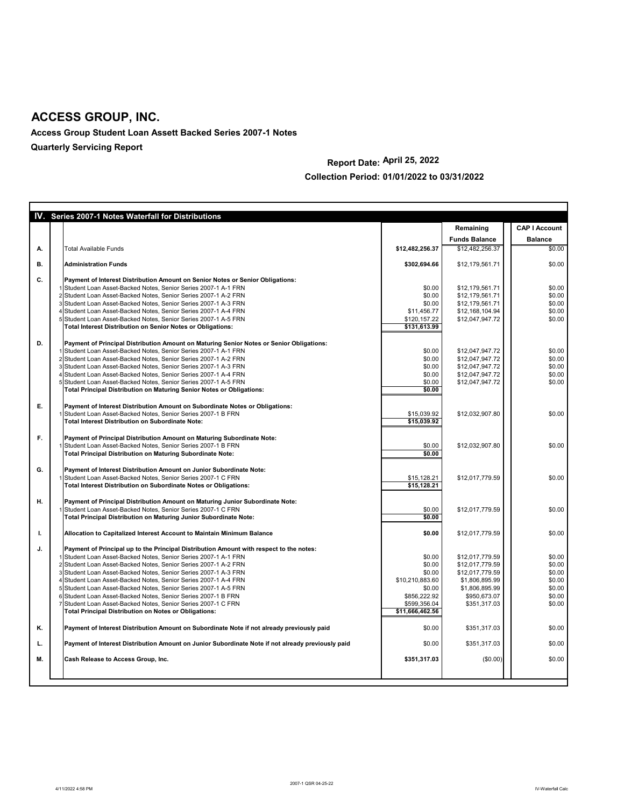**Access Group Student Loan Assett Backed Series 2007-1 Notes**

**Quarterly Servicing Report**

## **Collection Period: 01/01/2022 to 03/31/2022**

|           | IV. Series 2007-1 Notes Waterfall for Distributions                                                                                                                                                                                                                                                                                                                                                                                                                                                                                                                                                                                    |                                                                                                            |                                                                                                                           |                                                                    |
|-----------|----------------------------------------------------------------------------------------------------------------------------------------------------------------------------------------------------------------------------------------------------------------------------------------------------------------------------------------------------------------------------------------------------------------------------------------------------------------------------------------------------------------------------------------------------------------------------------------------------------------------------------------|------------------------------------------------------------------------------------------------------------|---------------------------------------------------------------------------------------------------------------------------|--------------------------------------------------------------------|
|           |                                                                                                                                                                                                                                                                                                                                                                                                                                                                                                                                                                                                                                        |                                                                                                            | Remaining                                                                                                                 | <b>CAP I Account</b>                                               |
|           |                                                                                                                                                                                                                                                                                                                                                                                                                                                                                                                                                                                                                                        |                                                                                                            | <b>Funds Balance</b>                                                                                                      | <b>Balance</b>                                                     |
| А.        | <b>Total Available Funds</b>                                                                                                                                                                                                                                                                                                                                                                                                                                                                                                                                                                                                           | \$12,482,256.37                                                                                            | \$12,482,256.37                                                                                                           | \$0.00                                                             |
| <b>B.</b> | <b>Administration Funds</b>                                                                                                                                                                                                                                                                                                                                                                                                                                                                                                                                                                                                            | \$302,694.66                                                                                               | \$12,179,561.71                                                                                                           | \$0.00                                                             |
| C.        | Payment of Interest Distribution Amount on Senior Notes or Senior Obligations:                                                                                                                                                                                                                                                                                                                                                                                                                                                                                                                                                         |                                                                                                            |                                                                                                                           |                                                                    |
|           | Student Loan Asset-Backed Notes, Senior Series 2007-1 A-1 FRN<br>2 Student Loan Asset-Backed Notes, Senior Series 2007-1 A-2 FRN<br>3 Student Loan Asset-Backed Notes, Senior Series 2007-1 A-3 FRN<br>4 Student Loan Asset-Backed Notes, Senior Series 2007-1 A-4 FRN<br>5 Student Loan Asset-Backed Notes, Senior Series 2007-1 A-5 FRN<br><b>Total Interest Distribution on Senior Notes or Obligations:</b>                                                                                                                                                                                                                        | \$0.00<br>\$0.00<br>\$0.00<br>\$11,456.77<br>\$120,157.22<br>\$131,613.99                                  | \$12,179,561.71<br>\$12,179,561.71<br>\$12,179,561.71<br>\$12,168,104.94<br>\$12,047,947.72                               | \$0.00<br>\$0.00<br>\$0.00<br>\$0.00<br>\$0.00                     |
| D.        | Payment of Principal Distribution Amount on Maturing Senior Notes or Senior Obligations:<br>Student Loan Asset-Backed Notes, Senior Series 2007-1 A-1 FRN<br>2 Student Loan Asset-Backed Notes, Senior Series 2007-1 A-2 FRN<br>3 Student Loan Asset-Backed Notes, Senior Series 2007-1 A-3 FRN<br>4 Student Loan Asset-Backed Notes, Senior Series 2007-1 A-4 FRN<br>5 Student Loan Asset-Backed Notes, Senior Series 2007-1 A-5 FRN<br><b>Total Principal Distribution on Maturing Senior Notes or Obligations:</b>                                                                                                                  | \$0.00<br>\$0.00<br>\$0.00<br>\$0.00<br>\$0.00<br>\$0.00                                                   | \$12,047,947.72<br>\$12,047,947.72<br>\$12,047,947.72<br>\$12,047,947.72<br>\$12,047,947.72                               | \$0.00<br>\$0.00<br>\$0.00<br>\$0.00<br>\$0.00                     |
| E.        | Payment of Interest Distribution Amount on Subordinate Notes or Obligations:<br>Student Loan Asset-Backed Notes, Senior Series 2007-1 B FRN<br><b>Total Interest Distribution on Subordinate Note:</b>                                                                                                                                                                                                                                                                                                                                                                                                                                 | \$15,039.92<br>\$15,039.92                                                                                 | \$12,032,907.80                                                                                                           | \$0.00                                                             |
| F.,       | Payment of Principal Distribution Amount on Maturing Subordinate Note:<br>1 Student Loan Asset-Backed Notes, Senior Series 2007-1 B FRN<br><b>Total Principal Distribution on Maturing Subordinate Note:</b>                                                                                                                                                                                                                                                                                                                                                                                                                           | \$0.00<br>\$0.00                                                                                           | \$12,032,907.80                                                                                                           | \$0.00                                                             |
| G.        | Payment of Interest Distribution Amount on Junior Subordinate Note:<br>Student Loan Asset-Backed Notes, Senior Series 2007-1 C FRN<br><b>Total Interest Distribution on Subordinate Notes or Obligations:</b>                                                                                                                                                                                                                                                                                                                                                                                                                          | \$15,128.21<br>\$15,128.21                                                                                 | \$12,017,779.59                                                                                                           | \$0.00                                                             |
| H.        | Payment of Principal Distribution Amount on Maturing Junior Subordinate Note:<br>Student Loan Asset-Backed Notes, Senior Series 2007-1 C FRN<br><b>Total Principal Distribution on Maturing Junior Subordinate Note:</b>                                                                                                                                                                                                                                                                                                                                                                                                               | \$0.00<br>\$0.00                                                                                           | \$12,017,779.59                                                                                                           | \$0.00                                                             |
| ι.        | Allocation to Capitalized Interest Account to Maintain Minimum Balance                                                                                                                                                                                                                                                                                                                                                                                                                                                                                                                                                                 | \$0.00                                                                                                     | \$12,017,779.59                                                                                                           | \$0.00                                                             |
| J.        | Payment of Principal up to the Principal Distribution Amount with respect to the notes:<br>Student Loan Asset-Backed Notes, Senior Series 2007-1 A-1 FRN<br>2 Student Loan Asset-Backed Notes, Senior Series 2007-1 A-2 FRN<br>3 Student Loan Asset-Backed Notes, Senior Series 2007-1 A-3 FRN<br>4 Student Loan Asset-Backed Notes, Senior Series 2007-1 A-4 FRN<br>5 Student Loan Asset-Backed Notes, Senior Series 2007-1 A-5 FRN<br>6 Student Loan Asset-Backed Notes, Senior Series 2007-1 B FRN<br>7 Student Loan Asset-Backed Notes, Senior Series 2007-1 C FRN<br><b>Total Principal Distribution on Notes or Obligations:</b> | \$0.00<br>\$0.00<br>\$0.00<br>\$10,210,883.60<br>\$0.00<br>\$856,222.92<br>\$599,356.04<br>\$11,666,462.56 | \$12,017,779.59<br>\$12,017,779.59<br>\$12,017,779.59<br>\$1,806,895.99<br>\$1,806,895.99<br>\$950,673.07<br>\$351,317.03 | \$0.00<br>\$0.00<br>\$0.00<br>\$0.00<br>\$0.00<br>\$0.00<br>\$0.00 |
| Κ.        | Payment of Interest Distribution Amount on Subordinate Note if not already previously paid                                                                                                                                                                                                                                                                                                                                                                                                                                                                                                                                             | \$0.00                                                                                                     | \$351,317.03                                                                                                              | \$0.00                                                             |
| L.        | Payment of Interest Distribution Amount on Junior Subordinate Note if not already previously paid                                                                                                                                                                                                                                                                                                                                                                                                                                                                                                                                      | \$0.00                                                                                                     | \$351,317.03                                                                                                              | \$0.00                                                             |
| М.        | <b>Cash Release to Access Group, Inc.</b>                                                                                                                                                                                                                                                                                                                                                                                                                                                                                                                                                                                              | \$351,317.03                                                                                               | (\$0.00)                                                                                                                  | \$0.00                                                             |
|           |                                                                                                                                                                                                                                                                                                                                                                                                                                                                                                                                                                                                                                        |                                                                                                            |                                                                                                                           |                                                                    |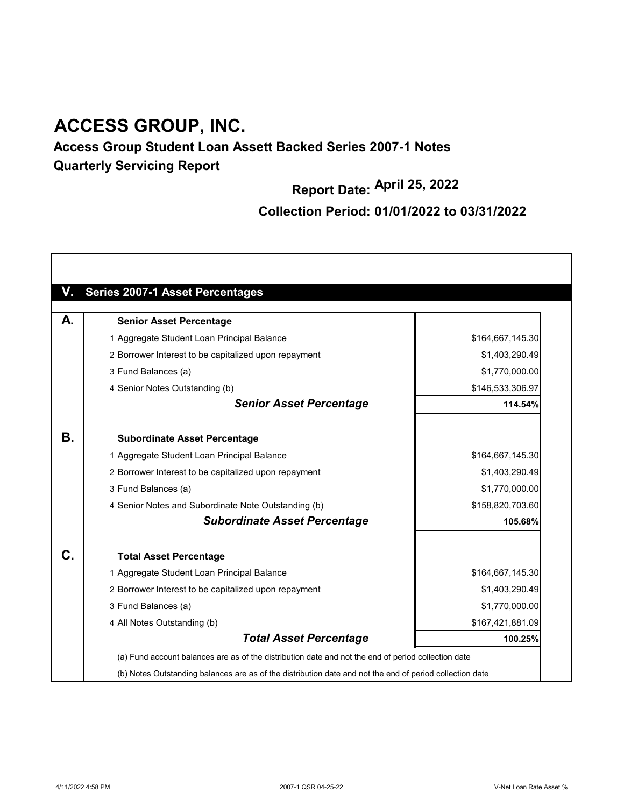## **Access Group Student Loan Assett Backed Series 2007-1 Notes Quarterly Servicing Report**

**Report Date: April 25, 2022**

## **Collection Period: 01/01/2022 to 03/31/2022**

| V. | <b>Series 2007-1 Asset Percentages</b>                                                                   |                  |
|----|----------------------------------------------------------------------------------------------------------|------------------|
| А. | <b>Senior Asset Percentage</b>                                                                           |                  |
|    | 1 Aggregate Student Loan Principal Balance                                                               | \$164,667,145.30 |
|    | 2 Borrower Interest to be capitalized upon repayment                                                     | \$1,403,290.49   |
|    | 3 Fund Balances (a)                                                                                      | \$1,770,000.00   |
|    | 4 Senior Notes Outstanding (b)                                                                           | \$146,533,306.97 |
|    | <b>Senior Asset Percentage</b>                                                                           | 114.54%          |
| В. | <b>Subordinate Asset Percentage</b>                                                                      |                  |
|    | 1 Aggregate Student Loan Principal Balance                                                               | \$164,667,145.30 |
|    | 2 Borrower Interest to be capitalized upon repayment                                                     | \$1,403,290.49   |
|    | 3 Fund Balances (a)                                                                                      | \$1,770,000.00   |
|    | 4 Senior Notes and Subordinate Note Outstanding (b)                                                      | \$158,820,703.60 |
|    | <b>Subordinate Asset Percentage</b>                                                                      | 105.68%          |
| С. | <b>Total Asset Percentage</b>                                                                            |                  |
|    | 1 Aggregate Student Loan Principal Balance                                                               | \$164,667,145.30 |
|    | 2 Borrower Interest to be capitalized upon repayment                                                     | \$1,403,290.49   |
|    | 3 Fund Balances (a)                                                                                      | \$1,770,000.00   |
|    | 4 All Notes Outstanding (b)                                                                              | \$167,421,881.09 |
|    | <b>Total Asset Percentage</b>                                                                            | 100.25%          |
|    | (a) Fund account balances are as of the distribution date and not the end of period collection date      |                  |
|    | (b) Notes Outstanding balances are as of the distribution date and not the end of period collection date |                  |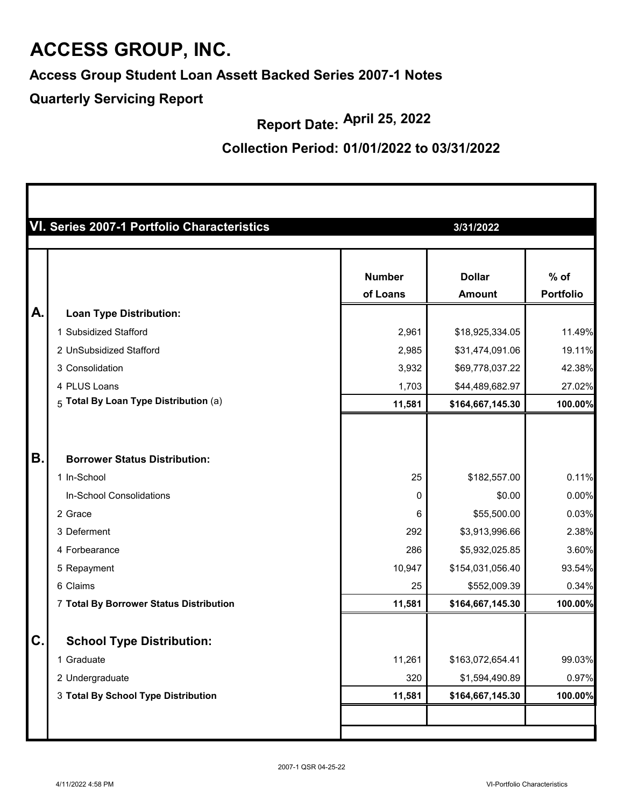**Access Group Student Loan Assett Backed Series 2007-1 Notes**

**Quarterly Servicing Report**

**Report Date: April 25, 2022**

#### **Collection Period: 01/01/2022 to 03/31/2022**

|           | VI. Series 2007-1 Portfolio Characteristics |               | 3/31/2022        |                  |
|-----------|---------------------------------------------|---------------|------------------|------------------|
|           |                                             |               |                  |                  |
|           |                                             | <b>Number</b> | <b>Dollar</b>    | $%$ of           |
|           |                                             | of Loans      | <b>Amount</b>    | <b>Portfolio</b> |
| A.        | <b>Loan Type Distribution:</b>              |               |                  |                  |
|           | 1 Subsidized Stafford                       | 2,961         | \$18,925,334.05  | 11.49%           |
|           | 2 UnSubsidized Stafford                     | 2,985         | \$31,474,091.06  | 19.11%           |
|           | 3 Consolidation                             | 3,932         | \$69,778,037.22  | 42.38%           |
|           | 4 PLUS Loans                                | 1,703         | \$44,489,682.97  | 27.02%           |
|           | $5$ Total By Loan Type Distribution (a)     | 11,581        | \$164,667,145.30 | 100.00%          |
|           |                                             |               |                  |                  |
| <b>B.</b> | <b>Borrower Status Distribution:</b>        |               |                  |                  |
|           | 1 In-School                                 | 25            | \$182,557.00     | 0.11%            |
|           | In-School Consolidations                    | 0             | \$0.00           | 0.00%            |
|           | 2 Grace                                     | 6             | \$55,500.00      | 0.03%            |
|           | 3 Deferment                                 | 292           | \$3,913,996.66   | 2.38%            |
|           | 4 Forbearance                               | 286           | \$5,932,025.85   | 3.60%            |
|           | 5 Repayment                                 | 10,947        | \$154,031,056.40 | 93.54%           |
|           | 6 Claims                                    | 25            | \$552,009.39     | 0.34%            |
|           | 7 Total By Borrower Status Distribution     | 11,581        | \$164,667,145.30 | 100.00%          |
| C.        | <b>School Type Distribution:</b>            |               |                  |                  |
|           | 1 Graduate                                  | 11,261        | \$163,072,654.41 | 99.03%           |
|           | 2 Undergraduate                             | 320           | \$1,594,490.89   | 0.97%            |
|           | 3 Total By School Type Distribution         | 11,581        | \$164,667,145.30 | 100.00%          |
|           |                                             |               |                  |                  |
|           |                                             |               |                  |                  |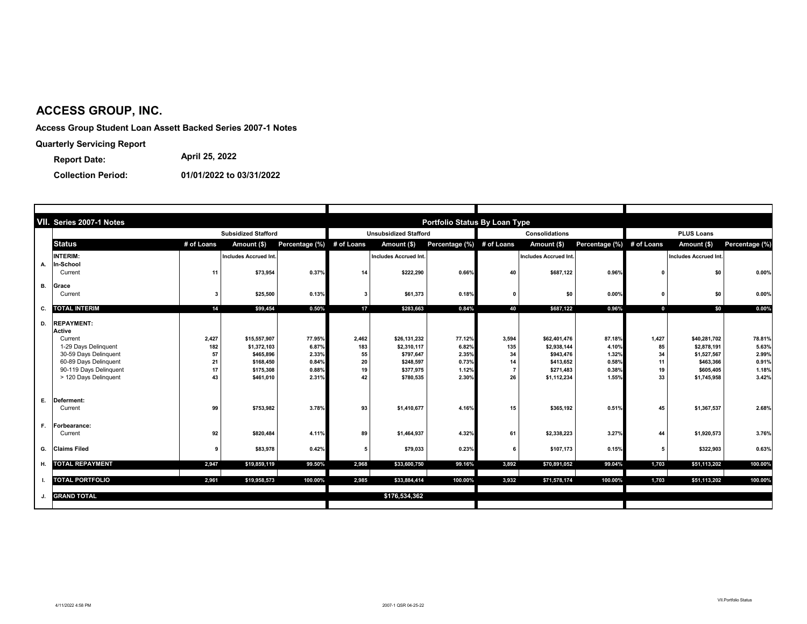**Access Group Student Loan Assett Backed Series 2007-1 Notes**

**Quarterly Servicing Report**

**Collection Period: 01/01/2022 to 03/31/2022**

|    | VII. Series 2007-1 Notes        |              |                              |                           |              |                              | <b>Portfolio Status By Loan Type</b> |                |                             |                           |             |                              |                 |  |
|----|---------------------------------|--------------|------------------------------|---------------------------|--------------|------------------------------|--------------------------------------|----------------|-----------------------------|---------------------------|-------------|------------------------------|-----------------|--|
|    |                                 |              | <b>Subsidized Stafford</b>   |                           |              | <b>Unsubsidized Stafford</b> |                                      |                | <b>Consolidations</b>       |                           |             | <b>PLUS Loans</b>            |                 |  |
|    | <b>Status</b>                   | # of Loans   | Amount (\$)                  | Percentage (%) # of Loans |              | Amount (\$)                  | Percentage (%) # of Loans            |                | Amount (\$)                 | Percentage (%) # of Loans |             | Amount (\$)                  | Percentage (%)  |  |
|    | <b>INTERIM:</b>                 |              | <b>Includes Accrued Int.</b> |                           |              | Includes Accrued Int.        |                                      |                | Includes Accrued Int.       |                           |             | <b>Includes Accrued Int.</b> |                 |  |
| А. | ก-School                        |              |                              |                           |              |                              |                                      |                |                             |                           |             |                              |                 |  |
|    | Current                         | 11           | \$73,954                     | 0.37%                     | 14           | \$222,290                    | 0.66%                                | 40             | \$687,122                   | 0.96%                     | - 0         | \$0                          | 0.00%           |  |
| В. | Grace                           |              |                              |                           |              |                              |                                      |                |                             |                           |             |                              |                 |  |
|    | Current                         | 3            | \$25,500                     | 0.13%                     |              | \$61,373                     | 0.18%                                | $\mathbf 0$    | \$0                         | $0.00\%$                  |             | \$0                          | 0.00%           |  |
| С. | <b>TOTAL INTERIM</b>            | 14           | \$99,454                     | 0.50%                     | 17           | \$283,663                    | 0.84%                                | 40             | \$687,122                   | 0.96%                     | $\mathbf 0$ | \$0                          | 0.00%           |  |
|    |                                 |              |                              |                           |              |                              |                                      |                |                             |                           |             |                              |                 |  |
|    | D. REPAYMENT:                   |              |                              |                           |              |                              |                                      |                |                             |                           |             |                              |                 |  |
|    | <b>Active</b>                   |              |                              |                           |              |                              |                                      |                |                             |                           |             |                              |                 |  |
|    | Current<br>1-29 Days Delinquent | 2,427<br>182 | \$15,557,907<br>\$1,372,103  | 77.95%<br>6.87%           | 2,462<br>183 | \$26,131,232<br>\$2,310,117  | 77.12%<br>6.82%                      | 3,594<br>135   | \$62,401,476<br>\$2,938,144 | 87.18%<br>4.10%           | 1,427<br>85 | \$40,281,702<br>\$2,878,191  | 78.81%<br>5.63% |  |
|    | 30-59 Days Delinquent           | 57           | \$465,896                    | 2.33%                     | 55           | \$797,647                    | 2.35%                                | 34             | \$943,476                   | 1.32%                     | 34          | \$1,527,567                  | 2.99%           |  |
|    | 60-89 Days Delinquent           | 21           | \$168,450                    | 0.84%                     | 20           | \$248,597                    | 0.73%                                | 14             | \$413,652                   | 0.58%                     | 11          | \$463,366                    | 0.91%           |  |
|    | 90-119 Days Delinquent          | 17           | \$175,308                    | 0.88%                     | 19           | \$377,975                    | 1.12%                                | $\overline{7}$ | \$271,483                   | 0.38%                     | 19          | \$605,405                    | 1.18%           |  |
|    | > 120 Days Delinquent           | 43           | \$461,010                    | 2.31%                     | 42           | \$780,535                    | 2.30%                                | 26             | \$1,112,234                 | 1.55%                     | 33          | \$1,745,958                  | 3.42%           |  |
| Е. | Deferment:                      |              |                              |                           |              |                              |                                      |                |                             |                           |             |                              |                 |  |
|    | Current                         | 99           | \$753,982                    | 3.78%                     | 93           | \$1,410,677                  | 4.16%                                | 15             | \$365,192                   | 0.51%                     | 45          | \$1,367,537                  | 2.68%           |  |
|    |                                 |              |                              |                           |              |                              |                                      |                |                             |                           |             |                              |                 |  |
| F. | <b>Forbearance:</b>             |              |                              |                           |              |                              |                                      |                |                             |                           |             |                              |                 |  |
|    | Current                         | 92           | \$820,484                    | 4.11%                     | 89           | \$1,464,937                  | 4.32%                                | 61             | \$2,338,223                 | 3.27%                     | 44          | \$1,920,573                  | 3.76%           |  |
|    | G. Claims Filed                 | 9            | \$83,978                     | 0.42%                     | -5           | \$79,033                     | 0.23%                                | 6              | \$107,173                   | 0.15%                     | 5           | \$322,903                    | 0.63%           |  |
|    | <b>H. TOTAL REPAYMENT</b>       | 2,947        | \$19,859,119                 | 99.50%                    | 2,968        | \$33,600,750                 | 99.16%                               | 3,892          | \$70,891,052                | 99.04%                    | 1,703       | \$51,113,202                 | 100.00%         |  |
|    | <b>TOTAL PORTFOLIO</b>          | 2,961        | \$19,958,573                 | 100.00%                   | 2,985        | \$33,884,414                 | 100.00%                              | 3,932          | \$71,578,174                | 100.00%                   | 1,703       | \$51,113,202                 | 100.00%         |  |
|    |                                 |              |                              |                           |              |                              |                                      |                |                             |                           |             |                              |                 |  |
|    | <b>GRAND TOTAL</b>              |              |                              |                           |              | \$176,534,362                |                                      |                |                             |                           |             |                              |                 |  |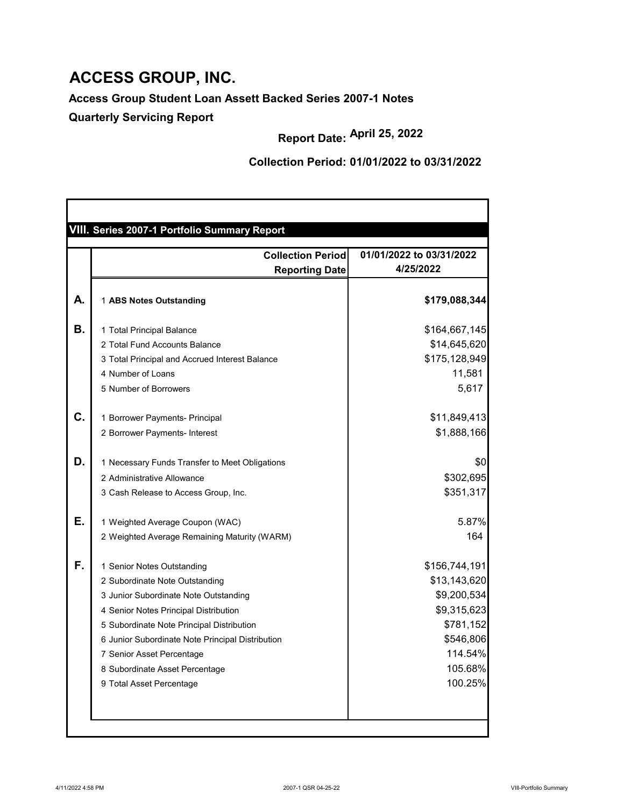**Access Group Student Loan Assett Backed Series 2007-1 Notes**

**Quarterly Servicing Report**

**Collection Period: 01/01/2022 to 03/31/2022**

|    | <b>Collection Periodl</b>                        | 01/01/2022 to 03/31/2022 |
|----|--------------------------------------------------|--------------------------|
|    | <b>Reporting Date</b>                            | 4/25/2022                |
| А. | 1 ABS Notes Outstanding                          | \$179,088,344            |
| В. | 1 Total Principal Balance                        | \$164,667,145            |
|    | 2 Total Fund Accounts Balance                    | \$14,645,620             |
|    | 3 Total Principal and Accrued Interest Balance   | \$175,128,949            |
|    | 4 Number of Loans                                | 11,581                   |
|    | 5 Number of Borrowers                            | 5,617                    |
| C. | 1 Borrower Payments- Principal                   | \$11,849,413             |
|    | 2 Borrower Payments- Interest                    | \$1,888,166              |
| D. | 1 Necessary Funds Transfer to Meet Obligations   | \$0                      |
|    | 2 Administrative Allowance                       | \$302,695                |
|    | 3 Cash Release to Access Group, Inc.             | \$351,317                |
|    | 1 Weighted Average Coupon (WAC)                  | 5.87%                    |
|    | 2 Weighted Average Remaining Maturity (WARM)     | 164                      |
| F. | 1 Senior Notes Outstanding                       | \$156,744,191            |
|    | 2 Subordinate Note Outstanding                   | \$13,143,620             |
|    | 3 Junior Subordinate Note Outstanding            | \$9,200,534              |
|    | 4 Senior Notes Principal Distribution            | \$9,315,623              |
|    | 5 Subordinate Note Principal Distribution        | \$781,152                |
|    | 6 Junior Subordinate Note Principal Distribution | \$546,806                |